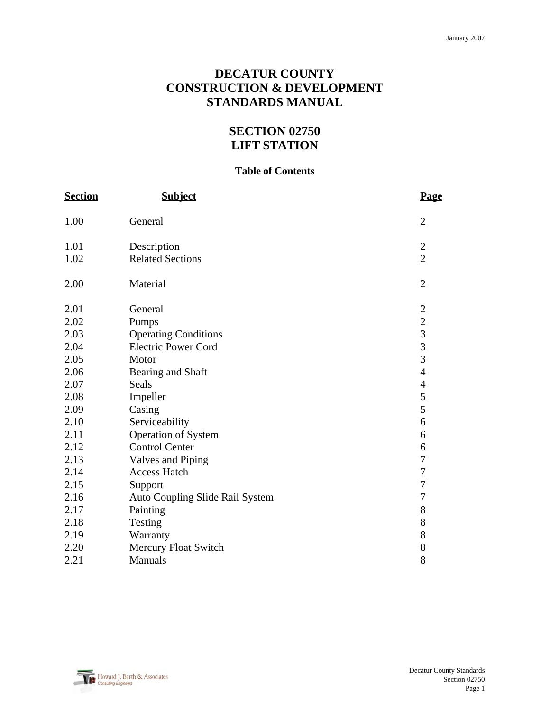# **DECATUR COUNTY CONSTRUCTION & DEVELOPMENT STANDARDS MANUAL**

# **SECTION 02750 LIFT STATION**

#### **Table of Contents**

| <b>Section</b> | <b>Subject</b>                  | <b>Page</b>                                |
|----------------|---------------------------------|--------------------------------------------|
| 1.00           | General                         | $\overline{2}$                             |
| 1.01           | Description                     | $\overline{c}$                             |
| 1.02           | <b>Related Sections</b>         | $\overline{2}$                             |
| 2.00           | Material                        | $\overline{2}$                             |
| 2.01           | General                         | $\overline{c}$                             |
| 2.02           | Pumps                           | $\begin{array}{c} 2 \\ 3 \\ 3 \end{array}$ |
| 2.03           | <b>Operating Conditions</b>     |                                            |
| 2.04           | <b>Electric Power Cord</b>      |                                            |
| 2.05           | Motor                           | $\overline{3}$                             |
| 2.06           | Bearing and Shaft               | $\overline{4}$                             |
| 2.07           | Seals                           | $\overline{\mathcal{A}}$                   |
| 2.08           | Impeller                        | 5                                          |
| 2.09           | Casing                          | 5                                          |
| 2.10           | Serviceability                  | 6                                          |
| 2.11           | <b>Operation of System</b>      | 6                                          |
| 2.12           | <b>Control Center</b>           | 6                                          |
| 2.13           | <b>Valves and Piping</b>        | $\boldsymbol{7}$                           |
| 2.14           | <b>Access Hatch</b>             | $\overline{7}$                             |
| 2.15           | Support                         | $\overline{7}$                             |
| 2.16           | Auto Coupling Slide Rail System | $\boldsymbol{7}$                           |
| 2.17           | Painting                        | 8                                          |
| 2.18           | Testing                         | 8                                          |
| 2.19           | Warranty                        | 8                                          |
| 2.20           | <b>Mercury Float Switch</b>     | 8                                          |
| 2.21           | Manuals                         | 8                                          |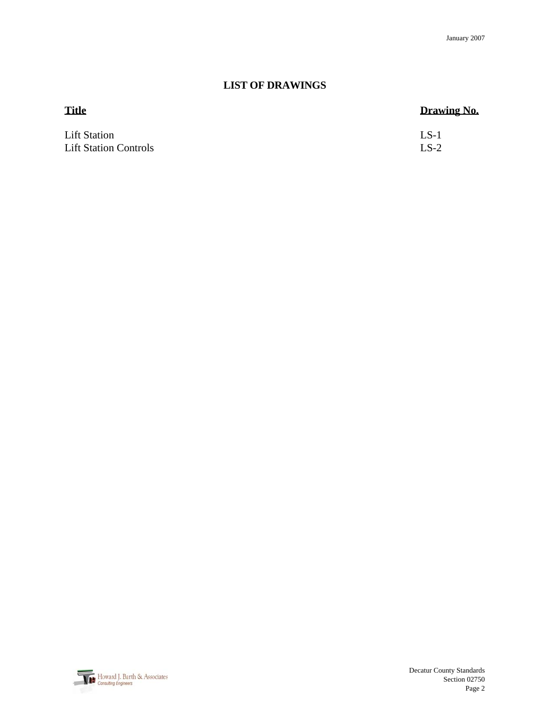# **LIST OF DRAWINGS**

| <b>Title</b>                 | Drawing No. |
|------------------------------|-------------|
| <b>Lift Station</b>          | $LS-1$      |
| <b>Lift Station Controls</b> | $LS-2$      |

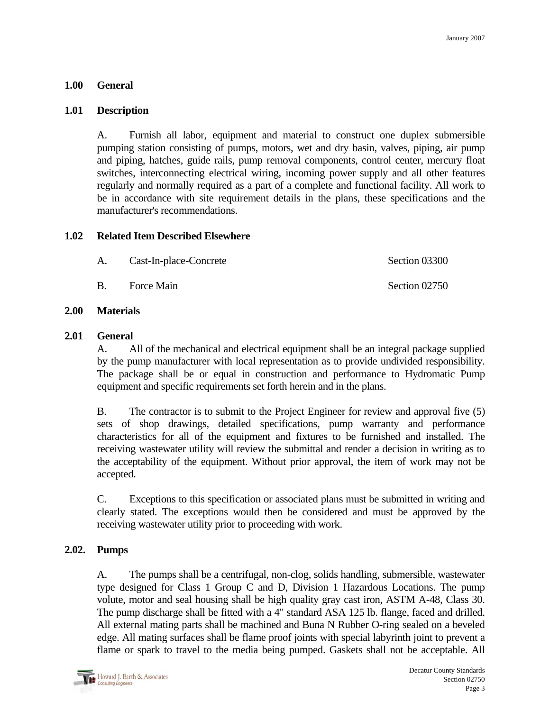#### **1.00 General**

#### **1.01 Description**

 A. Furnish all labor, equipment and material to construct one duplex submersible pumping station consisting of pumps, motors, wet and dry basin, valves, piping, air pump and piping, hatches, guide rails, pump removal components, control center, mercury float switches, interconnecting electrical wiring, incoming power supply and all other features regularly and normally required as a part of a complete and functional facility. All work to be in accordance with site requirement details in the plans, these specifications and the manufacturer's recommendations.

#### **1.02 Related Item Described Elsewhere**

| Cast-In-place-Concrete | Section 03300 |
|------------------------|---------------|
|                        |               |

B. Force Main Section 02750

#### **2.00 Materials**

#### **2.01 General**

 A. All of the mechanical and electrical equipment shall be an integral package supplied by the pump manufacturer with local representation as to provide undivided responsibility. The package shall be or equal in construction and performance to Hydromatic Pump equipment and specific requirements set forth herein and in the plans.

 B. The contractor is to submit to the Project Engineer for review and approval five (5) sets of shop drawings, detailed specifications, pump warranty and performance characteristics for all of the equipment and fixtures to be furnished and installed. The receiving wastewater utility will review the submittal and render a decision in writing as to the acceptability of the equipment. Without prior approval, the item of work may not be accepted.

 C. Exceptions to this specification or associated plans must be submitted in writing and clearly stated. The exceptions would then be considered and must be approved by the receiving wastewater utility prior to proceeding with work.

#### **2.02. Pumps**

 A. The pumps shall be a centrifugal, non-clog, solids handling, submersible, wastewater type designed for Class 1 Group C and D, Division 1 Hazardous Locations. The pump volute, motor and seal housing shall be high quality gray cast iron, ASTM A-48, Class 30. The pump discharge shall be fitted with a 4" standard ASA 125 lb. flange, faced and drilled. All external mating parts shall be machined and Buna N Rubber O-ring sealed on a beveled edge. All mating surfaces shall be flame proof joints with special labyrinth joint to prevent a flame or spark to travel to the media being pumped. Gaskets shall not be acceptable. All

Howard J. Barth & Associates Consulting Engineers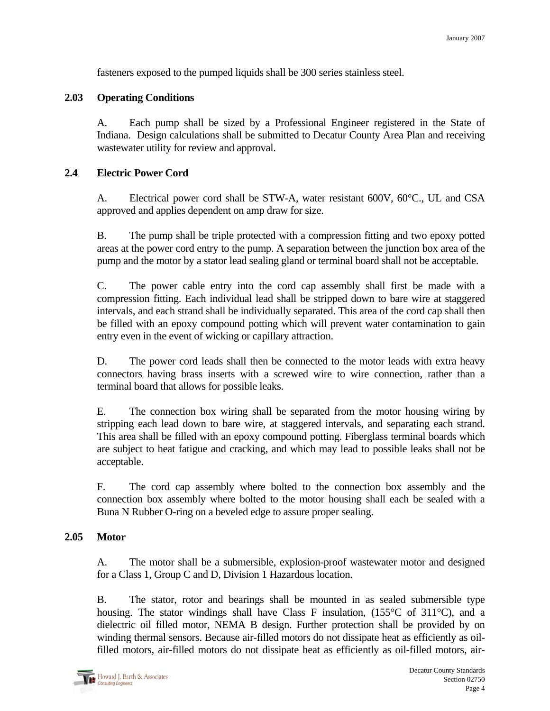fasteners exposed to the pumped liquids shall be 300 series stainless steel.

## **2.03 Operating Conditions**

 A. Each pump shall be sized by a Professional Engineer registered in the State of Indiana. Design calculations shall be submitted to Decatur County Area Plan and receiving wastewater utility for review and approval.

## **2.4 Electric Power Cord**

 A. Electrical power cord shall be STW-A, water resistant 600V, 60°C., UL and CSA approved and applies dependent on amp draw for size.

 B. The pump shall be triple protected with a compression fitting and two epoxy potted areas at the power cord entry to the pump. A separation between the junction box area of the pump and the motor by a stator lead sealing gland or terminal board shall not be acceptable.

 C. The power cable entry into the cord cap assembly shall first be made with a compression fitting. Each individual lead shall be stripped down to bare wire at staggered intervals, and each strand shall be individually separated. This area of the cord cap shall then be filled with an epoxy compound potting which will prevent water contamination to gain entry even in the event of wicking or capillary attraction.

 D. The power cord leads shall then be connected to the motor leads with extra heavy connectors having brass inserts with a screwed wire to wire connection, rather than a terminal board that allows for possible leaks.

 E. The connection box wiring shall be separated from the motor housing wiring by stripping each lead down to bare wire, at staggered intervals, and separating each strand. This area shall be filled with an epoxy compound potting. Fiberglass terminal boards which are subject to heat fatigue and cracking, and which may lead to possible leaks shall not be acceptable.

 F. The cord cap assembly where bolted to the connection box assembly and the connection box assembly where bolted to the motor housing shall each be sealed with a Buna N Rubber O-ring on a beveled edge to assure proper sealing.

#### **2.05 Motor**

 A. The motor shall be a submersible, explosion-proof wastewater motor and designed for a Class 1, Group C and D, Division 1 Hazardous location.

B. The stator, rotor and bearings shall be mounted in as sealed submersible type housing. The stator windings shall have Class F insulation, (155°C of 311°C), and a dielectric oil filled motor, NEMA B design. Further protection shall be provided by on winding thermal sensors. Because air-filled motors do not dissipate heat as efficiently as oilfilled motors, air-filled motors do not dissipate heat as efficiently as oil-filled motors, air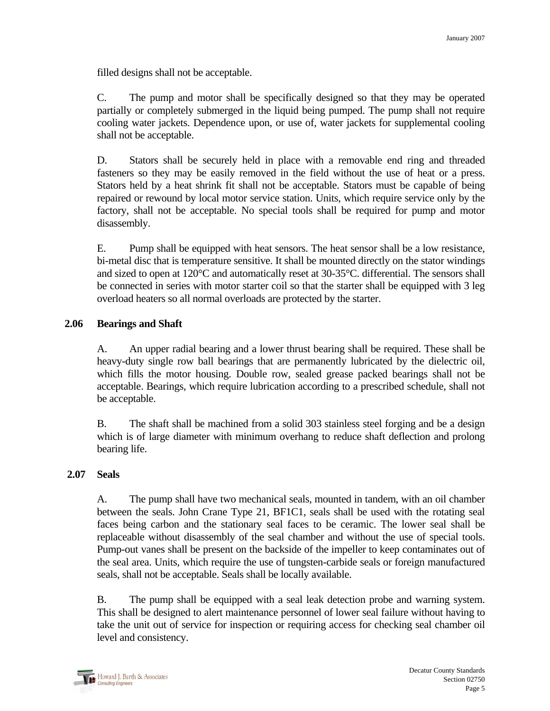filled designs shall not be acceptable.

 C. The pump and motor shall be specifically designed so that they may be operated partially or completely submerged in the liquid being pumped. The pump shall not require cooling water jackets. Dependence upon, or use of, water jackets for supplemental cooling shall not be acceptable.

 D. Stators shall be securely held in place with a removable end ring and threaded fasteners so they may be easily removed in the field without the use of heat or a press. Stators held by a heat shrink fit shall not be acceptable. Stators must be capable of being repaired or rewound by local motor service station. Units, which require service only by the factory, shall not be acceptable. No special tools shall be required for pump and motor disassembly.

 E. Pump shall be equipped with heat sensors. The heat sensor shall be a low resistance, bi-metal disc that is temperature sensitive. It shall be mounted directly on the stator windings and sized to open at 120°C and automatically reset at 30-35°C. differential. The sensors shall be connected in series with motor starter coil so that the starter shall be equipped with 3 leg overload heaters so all normal overloads are protected by the starter.

# **2.06 Bearings and Shaft**

A. An upper radial bearing and a lower thrust bearing shall be required. These shall be heavy-duty single row ball bearings that are permanently lubricated by the dielectric oil, which fills the motor housing. Double row, sealed grease packed bearings shall not be acceptable. Bearings, which require lubrication according to a prescribed schedule, shall not be acceptable.

 B. The shaft shall be machined from a solid 303 stainless steel forging and be a design which is of large diameter with minimum overhang to reduce shaft deflection and prolong bearing life.

#### **2.07 Seals**

A. The pump shall have two mechanical seals, mounted in tandem, with an oil chamber between the seals. John Crane Type 21, BF1C1, seals shall be used with the rotating seal faces being carbon and the stationary seal faces to be ceramic. The lower seal shall be replaceable without disassembly of the seal chamber and without the use of special tools. Pump-out vanes shall be present on the backside of the impeller to keep contaminates out of the seal area. Units, which require the use of tungsten-carbide seals or foreign manufactured seals, shall not be acceptable. Seals shall be locally available.

 B. The pump shall be equipped with a seal leak detection probe and warning system. This shall be designed to alert maintenance personnel of lower seal failure without having to take the unit out of service for inspection or requiring access for checking seal chamber oil level and consistency.

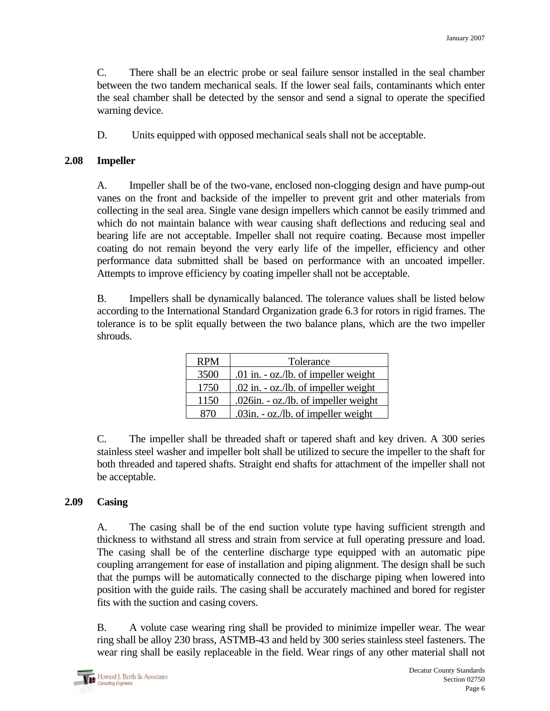C. There shall be an electric probe or seal failure sensor installed in the seal chamber between the two tandem mechanical seals. If the lower seal fails, contaminants which enter the seal chamber shall be detected by the sensor and send a signal to operate the specified warning device.

D. Units equipped with opposed mechanical seals shall not be acceptable.

## **2.08 Impeller**

A. Impeller shall be of the two-vane, enclosed non-clogging design and have pump-out vanes on the front and backside of the impeller to prevent grit and other materials from collecting in the seal area. Single vane design impellers which cannot be easily trimmed and which do not maintain balance with wear causing shaft deflections and reducing seal and bearing life are not acceptable. Impeller shall not require coating. Because most impeller coating do not remain beyond the very early life of the impeller, efficiency and other performance data submitted shall be based on performance with an uncoated impeller. Attempts to improve efficiency by coating impeller shall not be acceptable.

 B. Impellers shall be dynamically balanced. The tolerance values shall be listed below according to the International Standard Organization grade 6.3 for rotors in rigid frames. The tolerance is to be split equally between the two balance plans, which are the two impeller shrouds.

| <b>RPM</b> | Tolerance                                          |
|------------|----------------------------------------------------|
| 3500       | .01 in. $-\underline{oz}$ ./lb. of impeller weight |
| 1750       | .02 in. - oz./lb. of impeller weight               |
| 1150       | .026in. - oz./lb. of impeller weight               |
| 87O        | .03in. - oz./lb. of impeller weight                |

 C. The impeller shall be threaded shaft or tapered shaft and key driven. A 300 series stainless steel washer and impeller bolt shall be utilized to secure the impeller to the shaft for both threaded and tapered shafts. Straight end shafts for attachment of the impeller shall not be acceptable.

# **2.09 Casing**

A. The casing shall be of the end suction volute type having sufficient strength and thickness to withstand all stress and strain from service at full operating pressure and load. The casing shall be of the centerline discharge type equipped with an automatic pipe coupling arrangement for ease of installation and piping alignment. The design shall be such that the pumps will be automatically connected to the discharge piping when lowered into position with the guide rails. The casing shall be accurately machined and bored for register fits with the suction and casing covers.

 B. A volute case wearing ring shall be provided to minimize impeller wear. The wear ring shall be alloy 230 brass, ASTMB-43 and held by 300 series stainless steel fasteners. The wear ring shall be easily replaceable in the field. Wear rings of any other material shall not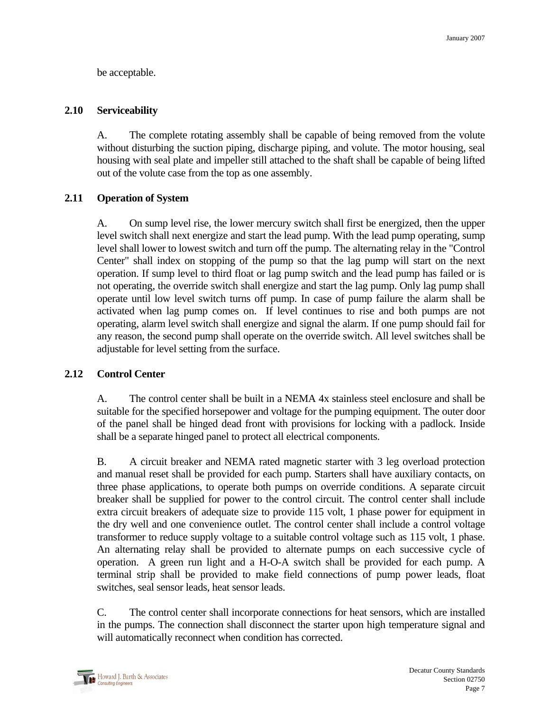be acceptable.

## **2.10 Serviceability**

A. The complete rotating assembly shall be capable of being removed from the volute without disturbing the suction piping, discharge piping, and volute. The motor housing, seal housing with seal plate and impeller still attached to the shaft shall be capable of being lifted out of the volute case from the top as one assembly.

# **2.11 Operation of System**

 A. On sump level rise, the lower mercury switch shall first be energized, then the upper level switch shall next energize and start the lead pump. With the lead pump operating, sump level shall lower to lowest switch and turn off the pump. The alternating relay in the "Control Center" shall index on stopping of the pump so that the lag pump will start on the next operation. If sump level to third float or lag pump switch and the lead pump has failed or is not operating, the override switch shall energize and start the lag pump. Only lag pump shall operate until low level switch turns off pump. In case of pump failure the alarm shall be activated when lag pump comes on. If level continues to rise and both pumps are not operating, alarm level switch shall energize and signal the alarm. If one pump should fail for any reason, the second pump shall operate on the override switch. All level switches shall be adjustable for level setting from the surface.

# **2.12 Control Center**

A. The control center shall be built in a NEMA 4x stainless steel enclosure and shall be suitable for the specified horsepower and voltage for the pumping equipment. The outer door of the panel shall be hinged dead front with provisions for locking with a padlock. Inside shall be a separate hinged panel to protect all electrical components.

 B. A circuit breaker and NEMA rated magnetic starter with 3 leg overload protection and manual reset shall be provided for each pump. Starters shall have auxiliary contacts, on three phase applications, to operate both pumps on override conditions. A separate circuit breaker shall be supplied for power to the control circuit. The control center shall include extra circuit breakers of adequate size to provide 115 volt, 1 phase power for equipment in the dry well and one convenience outlet. The control center shall include a control voltage transformer to reduce supply voltage to a suitable control voltage such as 115 volt, 1 phase. An alternating relay shall be provided to alternate pumps on each successive cycle of operation. A green run light and a H-O-A switch shall be provided for each pump. A terminal strip shall be provided to make field connections of pump power leads, float switches, seal sensor leads, heat sensor leads.

 C. The control center shall incorporate connections for heat sensors, which are installed in the pumps. The connection shall disconnect the starter upon high temperature signal and will automatically reconnect when condition has corrected.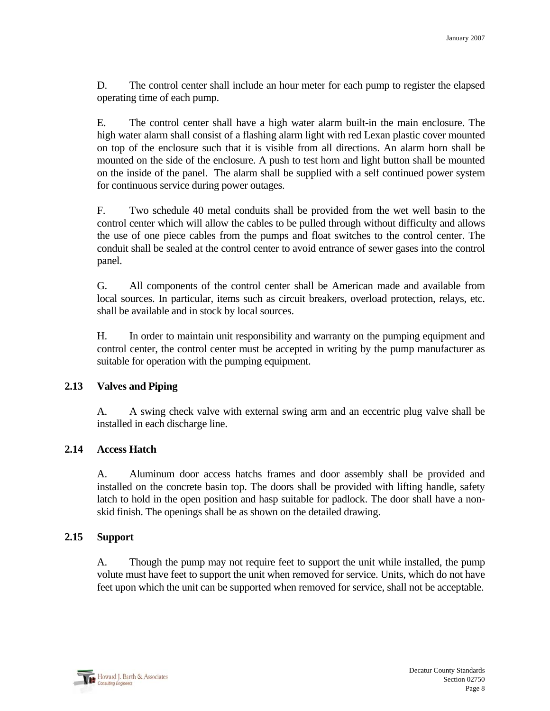D. The control center shall include an hour meter for each pump to register the elapsed operating time of each pump.

 E. The control center shall have a high water alarm built-in the main enclosure. The high water alarm shall consist of a flashing alarm light with red Lexan plastic cover mounted on top of the enclosure such that it is visible from all directions. An alarm horn shall be mounted on the side of the enclosure. A push to test horn and light button shall be mounted on the inside of the panel. The alarm shall be supplied with a self continued power system for continuous service during power outages.

 F. Two schedule 40 metal conduits shall be provided from the wet well basin to the control center which will allow the cables to be pulled through without difficulty and allows the use of one piece cables from the pumps and float switches to the control center. The conduit shall be sealed at the control center to avoid entrance of sewer gases into the control panel.

 G. All components of the control center shall be American made and available from local sources. In particular, items such as circuit breakers, overload protection, relays, etc. shall be available and in stock by local sources.

 H. In order to maintain unit responsibility and warranty on the pumping equipment and control center, the control center must be accepted in writing by the pump manufacturer as suitable for operation with the pumping equipment.

#### **2.13 Valves and Piping**

A. A swing check valve with external swing arm and an eccentric plug valve shall be installed in each discharge line.

# **2.14 Access Hatch**

 A. Aluminum door access hatchs frames and door assembly shall be provided and installed on the concrete basin top. The doors shall be provided with lifting handle, safety latch to hold in the open position and hasp suitable for padlock. The door shall have a nonskid finish. The openings shall be as shown on the detailed drawing.

#### **2.15 Support**

 A. Though the pump may not require feet to support the unit while installed, the pump volute must have feet to support the unit when removed for service. Units, which do not have feet upon which the unit can be supported when removed for service, shall not be acceptable.

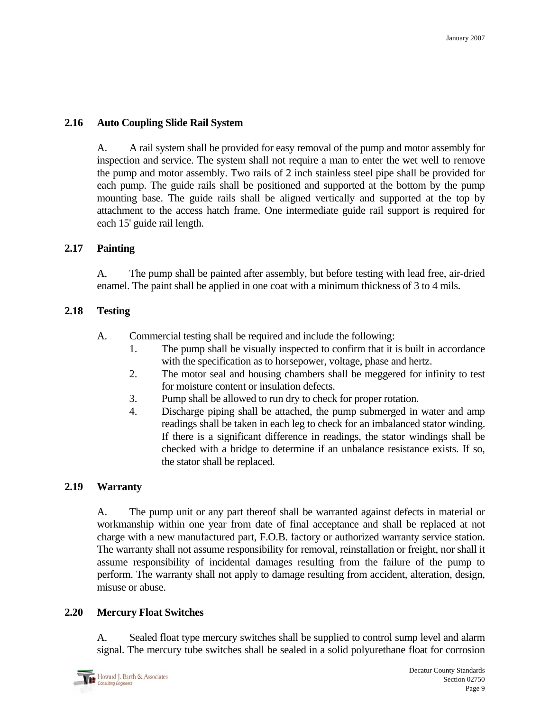# **2.16 Auto Coupling Slide Rail System**

 A. A rail system shall be provided for easy removal of the pump and motor assembly for inspection and service. The system shall not require a man to enter the wet well to remove the pump and motor assembly. Two rails of 2 inch stainless steel pipe shall be provided for each pump. The guide rails shall be positioned and supported at the bottom by the pump mounting base. The guide rails shall be aligned vertically and supported at the top by attachment to the access hatch frame. One intermediate guide rail support is required for each 15' guide rail length.

# **2.17 Painting**

A. The pump shall be painted after assembly, but before testing with lead free, air-dried enamel. The paint shall be applied in one coat with a minimum thickness of 3 to 4 mils.

# **2.18 Testing**

- A. Commercial testing shall be required and include the following:
	- 1. The pump shall be visually inspected to confirm that it is built in accordance with the specification as to horsepower, voltage, phase and hertz.
	- 2. The motor seal and housing chambers shall be meggered for infinity to test for moisture content or insulation defects.
	- 3. Pump shall be allowed to run dry to check for proper rotation.
	- 4. Discharge piping shall be attached, the pump submerged in water and amp readings shall be taken in each leg to check for an imbalanced stator winding. If there is a significant difference in readings, the stator windings shall be checked with a bridge to determine if an unbalance resistance exists. If so, the stator shall be replaced.

# **2.19 Warranty**

A. The pump unit or any part thereof shall be warranted against defects in material or workmanship within one year from date of final acceptance and shall be replaced at not charge with a new manufactured part, F.O.B. factory or authorized warranty service station. The warranty shall not assume responsibility for removal, reinstallation or freight, nor shall it assume responsibility of incidental damages resulting from the failure of the pump to perform. The warranty shall not apply to damage resulting from accident, alteration, design, misuse or abuse.

# **2.20 Mercury Float Switches**

A. Sealed float type mercury switches shall be supplied to control sump level and alarm signal. The mercury tube switches shall be sealed in a solid polyurethane float for corrosion

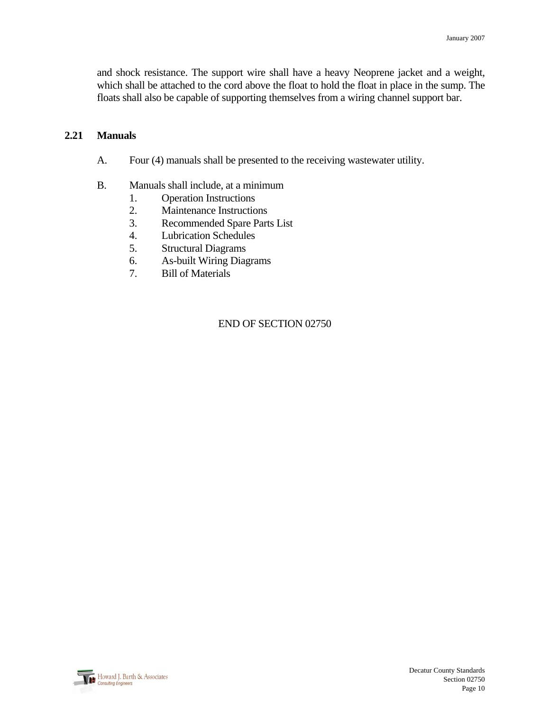and shock resistance. The support wire shall have a heavy Neoprene jacket and a weight, which shall be attached to the cord above the float to hold the float in place in the sump. The floats shall also be capable of supporting themselves from a wiring channel support bar.

## **2.21 Manuals**

- A. Four (4) manuals shall be presented to the receiving wastewater utility.
- B. Manuals shall include, at a minimum
	- 1. Operation Instructions
	- 2. Maintenance Instructions
	- 3. Recommended Spare Parts List
	- 4. Lubrication Schedules
	- 5. Structural Diagrams
	- 6. As-built Wiring Diagrams
	- 7. Bill of Materials

#### END OF SECTION 02750

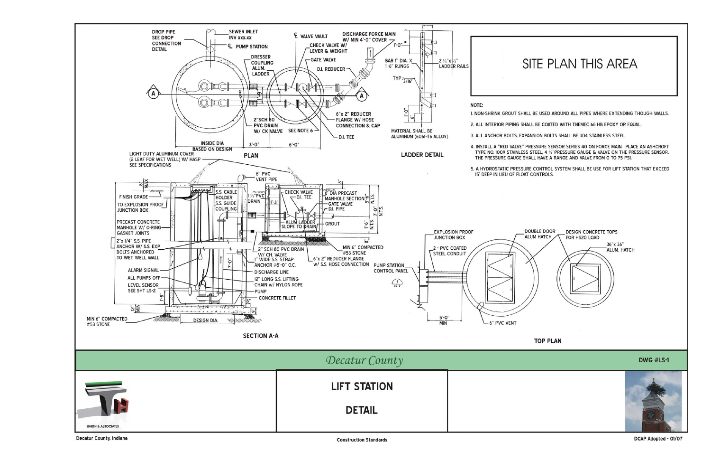

Decatur County, Indiana

**Construction Standards** 

DCAP Adopted - 01/07